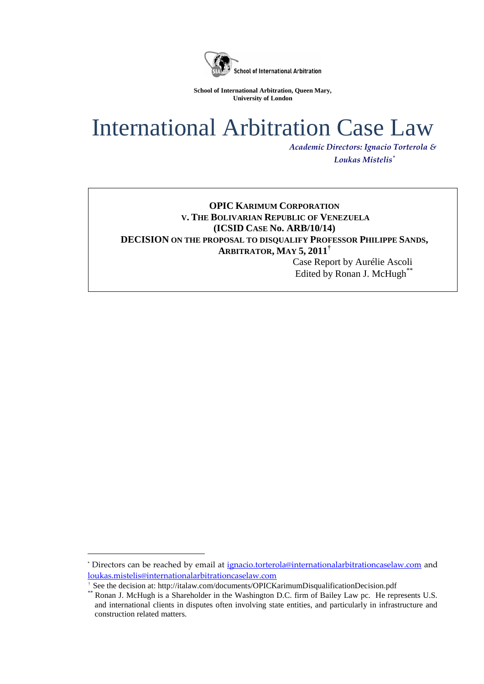

**School of International Arbitration, Queen Mary, University of London**

# International Arbitration Case Law

*Academic Directors: Ignacio Torterola & Loukas Mistelis\**

# **OPIC KARIMUM CORPORATION V. THE BOLIVARIAN REPUBLIC OF VENEZUELA (ICSID CASE No. ARB/10/14) DECISION ON THE PROPOSAL TO DISQUALIFY PROFESSOR PHILIPPE SANDS, ARBITRATOR, MAY 5, 2011†**

Case Report by Aurélie Ascoli Edited by Ronan J. McHugh\*\*

<sup>\*</sup> Directors can be reached by email at [ignacio.torterola@internationalarbitrationcaselaw.com](mailto:ignacio.torterola@internationalarbitrationcaselaw.com) and [loukas.mistelis@internationalarbitrationcaselaw.com](mailto:loukas.mistelis@internationalarbitrationcaselaw.com) 

<sup>†</sup> See the decision at: http://italaw.com/documents/OPICKarimumDisqualificationDecision.pdf

Ronan J. McHugh is a Shareholder in the Washington D.C. firm of Bailey Law pc. He represents U.S. and international clients in disputes often involving state entities, and particularly in infrastructure and construction related matters.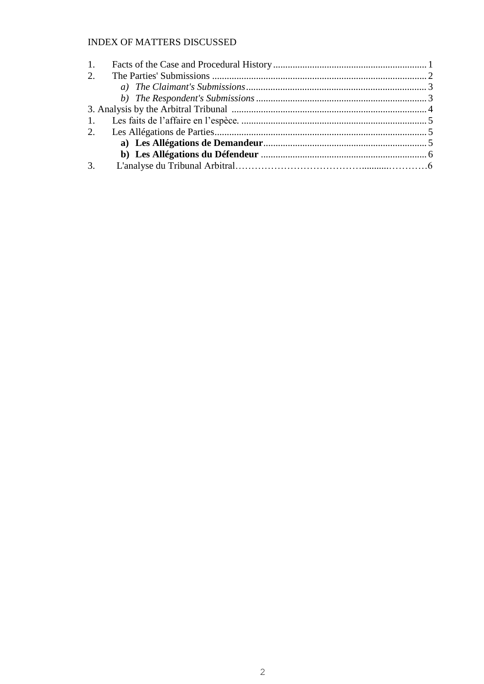# **INDEX OF MATTERS DISCUSSED**

| 1. |  |
|----|--|
| 2. |  |
|    |  |
|    |  |
|    |  |
|    |  |
|    |  |
|    |  |
|    |  |
| 3. |  |
|    |  |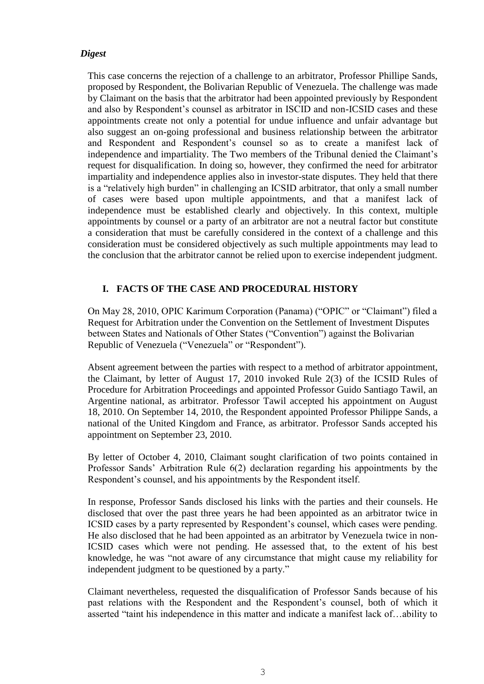#### *Digest*

This case concerns the rejection of a challenge to an arbitrator, Professor Phillipe Sands, proposed by Respondent, the Bolivarian Republic of Venezuela. The challenge was made by Claimant on the basis that the arbitrator had been appointed previously by Respondent and also by Respondent's counsel as arbitrator in ISCID and non-ICSID cases and these appointments create not only a potential for undue influence and unfair advantage but also suggest an on-going professional and business relationship between the arbitrator and Respondent and Respondent's counsel so as to create a manifest lack of independence and impartiality. The Two members of the Tribunal denied the Claimant's request for disqualification. In doing so, however, they confirmed the need for arbitrator impartiality and independence applies also in investor-state disputes. They held that there is a "relatively high burden" in challenging an ICSID arbitrator, that only a small number of cases were based upon multiple appointments, and that a manifest lack of independence must be established clearly and objectively. In this context, multiple appointments by counsel or a party of an arbitrator are not a neutral factor but constitute a consideration that must be carefully considered in the context of a challenge and this consideration must be considered objectively as such multiple appointments may lead to the conclusion that the arbitrator cannot be relied upon to exercise independent judgment.

## **I. FACTS OF THE CASE AND PROCEDURAL HISTORY**

On May 28, 2010, OPIC Karimum Corporation (Panama) ("OPIC" or "Claimant") filed a Request for Arbitration under the Convention on the Settlement of Investment Disputes between States and Nationals of Other States ("Convention") against the Bolivarian Republic of Venezuela ("Venezuela" or "Respondent").

Absent agreement between the parties with respect to a method of arbitrator appointment, the Claimant, by letter of August 17, 2010 invoked Rule 2(3) of the ICSID Rules of Procedure for Arbitration Proceedings and appointed Professor Guido Santiago Tawil, an Argentine national, as arbitrator. Professor Tawil accepted his appointment on August 18, 2010. On September 14, 2010, the Respondent appointed Professor Philippe Sands, a national of the United Kingdom and France, as arbitrator. Professor Sands accepted his appointment on September 23, 2010.

By letter of October 4, 2010, Claimant sought clarification of two points contained in Professor Sands' Arbitration Rule 6(2) declaration regarding his appointments by the Respondent's counsel, and his appointments by the Respondent itself.

In response, Professor Sands disclosed his links with the parties and their counsels. He disclosed that over the past three years he had been appointed as an arbitrator twice in ICSID cases by a party represented by Respondent's counsel, which cases were pending. He also disclosed that he had been appointed as an arbitrator by Venezuela twice in non-ICSID cases which were not pending. He assessed that, to the extent of his best knowledge, he was "not aware of any circumstance that might cause my reliability for independent judgment to be questioned by a party."

Claimant nevertheless, requested the disqualification of Professor Sands because of his past relations with the Respondent and the Respondent's counsel, both of which it asserted "taint his independence in this matter and indicate a manifest lack of…ability to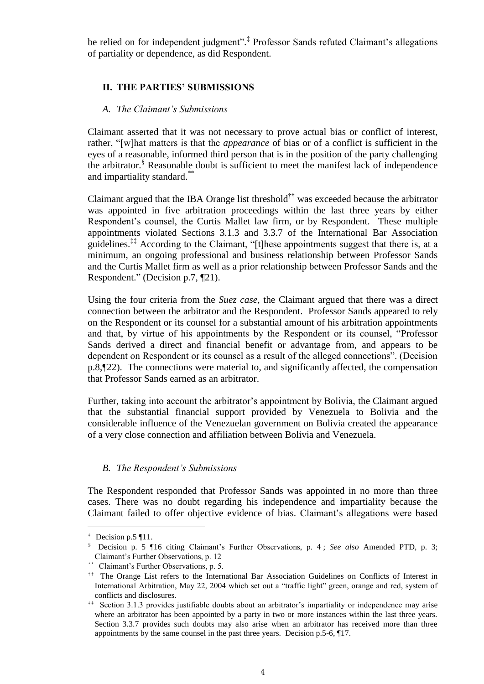be relied on for independent judgment". ‡ Professor Sands refuted Claimant's allegations of partiality or dependence, as did Respondent.

## **II. THE PARTIES' SUBMISSIONS**

#### *A. The Claimant's Submissions*

Claimant asserted that it was not necessary to prove actual bias or conflict of interest, rather, "[w]hat matters is that the *appearance* of bias or of a conflict is sufficient in the eyes of a reasonable, informed third person that is in the position of the party challenging the arbitrator. § Reasonable doubt is sufficient to meet the manifest lack of independence and impartiality standard.\*\*

Claimant argued that the IBA Orange list threshold†† was exceeded because the arbitrator was appointed in five arbitration proceedings within the last three years by either Respondent's counsel, the Curtis Mallet law firm, or by Respondent. These multiple appointments violated Sections 3.1.3 and 3.3.7 of the International Bar Association guidelines.‡‡ According to the Claimant, "[t]hese appointments suggest that there is, at a minimum, an ongoing professional and business relationship between Professor Sands and the Curtis Mallet firm as well as a prior relationship between Professor Sands and the Respondent." (Decision p.7, ¶21).

Using the four criteria from the *Suez case*, the Claimant argued that there was a direct connection between the arbitrator and the Respondent. Professor Sands appeared to rely on the Respondent or its counsel for a substantial amount of his arbitration appointments and that, by virtue of his appointments by the Respondent or its counsel, "Professor Sands derived a direct and financial benefit or advantage from, and appears to be dependent on Respondent or its counsel as a result of the alleged connections". (Decision p.8,¶22). The connections were material to, and significantly affected, the compensation that Professor Sands earned as an arbitrator.

Further, taking into account the arbitrator's appointment by Bolivia, the Claimant argued that the substantial financial support provided by Venezuela to Bolivia and the considerable influence of the Venezuelan government on Bolivia created the appearance of a very close connection and affiliation between Bolivia and Venezuela.

## *B. The Respondent's Submissions*

The Respondent responded that Professor Sands was appointed in no more than three cases. There was no doubt regarding his independence and impartiality because the Claimant failed to offer objective evidence of bias. Claimant's allegations were based

 $\pm$  Decision p.5 ¶11.

<sup>§</sup> Decision p. 5 ¶16 citing Claimant's Further Observations, p. 4 ; *See also* Amended PTD, p. 3; Claimant's Further Observations, p. 12

<sup>\*\*</sup> Claimant's Further Observations, p. 5.

<sup>††</sup> The Orange List refers to the International Bar Association Guidelines on Conflicts of Interest in International Arbitration, May 22, 2004 which set out a "traffic light" green, orange and red, system of conflicts and disclosures.

<sup>&</sup>lt;sup>##</sup> Section 3.1.3 provides justifiable doubts about an arbitrator's impartiality or independence may arise where an arbitrator has been appointed by a party in two or more instances within the last three years. Section 3.3.7 provides such doubts may also arise when an arbitrator has received more than three appointments by the same counsel in the past three years. Decision p.5-6, ¶17.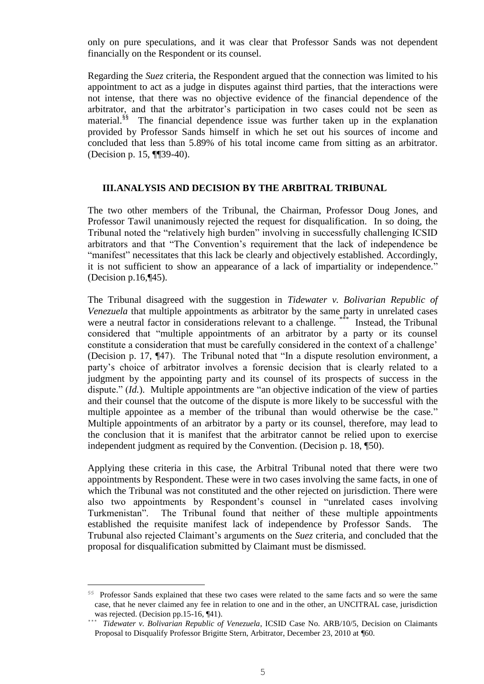only on pure speculations, and it was clear that Professor Sands was not dependent financially on the Respondent or its counsel.

Regarding the *Suez* criteria, the Respondent argued that the connection was limited to his appointment to act as a judge in disputes against third parties, that the interactions were not intense, that there was no objective evidence of the financial dependence of the arbitrator, and that the arbitrator's participation in two cases could not be seen as material.<sup>§§</sup> The financial dependence issue was further taken up in the explanation provided by Professor Sands himself in which he set out his sources of income and concluded that less than 5.89% of his total income came from sitting as an arbitrator. (Decision p. 15, ¶¶39-40).

#### **III.ANALYSIS AND DECISION BY THE ARBITRAL TRIBUNAL**

The two other members of the Tribunal, the Chairman, Professor Doug Jones, and Professor Tawil unanimously rejected the request for disqualification. In so doing, the Tribunal noted the "relatively high burden" involving in successfully challenging ICSID arbitrators and that "The Convention's requirement that the lack of independence be "manifest" necessitates that this lack be clearly and objectively established. Accordingly, it is not sufficient to show an appearance of a lack of impartiality or independence." (Decision p.16,¶45).

The Tribunal disagreed with the suggestion in *Tidewater v. Bolivarian Republic of Venezuela* that multiple appointments as arbitrator by the same party in unrelated cases were a neutral factor in considerations relevant to a challenge. Instead, the Tribunal considered that "multiple appointments of an arbitrator by a party or its counsel constitute a consideration that must be carefully considered in the context of a challenge' (Decision p. 17, ¶47). The Tribunal noted that "In a dispute resolution environment, a party's choice of arbitrator involves a forensic decision that is clearly related to a judgment by the appointing party and its counsel of its prospects of success in the dispute." *(Id.).* Multiple appointments are "an objective indication of the view of parties and their counsel that the outcome of the dispute is more likely to be successful with the multiple appointee as a member of the tribunal than would otherwise be the case." Multiple appointments of an arbitrator by a party or its counsel, therefore, may lead to the conclusion that it is manifest that the arbitrator cannot be relied upon to exercise independent judgment as required by the Convention. (Decision p. 18, ¶50).

Applying these criteria in this case, the Arbitral Tribunal noted that there were two appointments by Respondent. These were in two cases involving the same facts, in one of which the Tribunal was not constituted and the other rejected on jurisdiction. There were also two appointments by Respondent's counsel in "unrelated cases involving Turkmenistan". The Tribunal found that neither of these multiple appointments established the requisite manifest lack of independence by Professor Sands. The Trubunal also rejected Claimant's arguments on the *Suez* criteria, and concluded that the proposal for disqualification submitted by Claimant must be dismissed.

<sup>§§</sup> Professor Sands explained that these two cases were related to the same facts and so were the same case, that he never claimed any fee in relation to one and in the other, an UNCITRAL case, jurisdiction was rejected. (Decision pp.15-16, ¶41).

<sup>&</sup>lt;sup>\*\*\*</sup> *Tidewater v. Bolivarian Republic of Venezuela*, ICSID Case No. ARB/10/5, Decision on Claimants Proposal to Disqualify Professor Brigitte Stern, Arbitrator, December 23, 2010 at ¶60.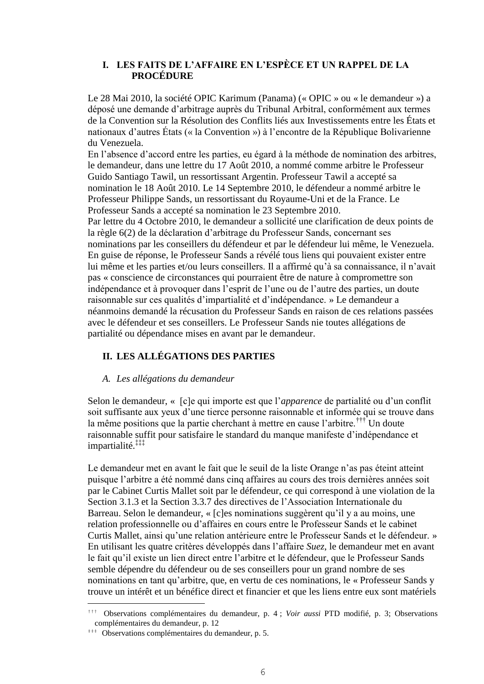## **I. LES FAITS DE L'AFFAIRE EN L'ESPÈCE ET UN RAPPEL DE LA PROCÉDURE**

Le 28 Mai 2010, la société OPIC Karimum (Panama) (« OPIC » ou « le demandeur ») a déposé une demande d'arbitrage auprès du Tribunal Arbitral, conformément aux termes de la Convention sur la Résolution des Conflits liés aux Investissements entre les États et nationaux d'autres États (« la Convention ») à l'encontre de la République Bolivarienne du Venezuela.

En l'absence d'accord entre les parties, eu égard à la méthode de nomination des arbitres, le demandeur, dans une lettre du 17 Août 2010, a nommé comme arbitre le Professeur Guido Santiago Tawil, un ressortissant Argentin. Professeur Tawil a accepté sa nomination le 18 Août 2010. Le 14 Septembre 2010, le défendeur a nommé arbitre le Professeur Philippe Sands, un ressortissant du Royaume-Uni et de la France. Le Professeur Sands a accepté sa nomination le 23 Septembre 2010. Par lettre du 4 Octobre 2010, le demandeur a sollicité une clarification de deux points de la règle 6(2) de la déclaration d'arbitrage du Professeur Sands, concernant ses nominations par les conseillers du défendeur et par le défendeur lui même, le Venezuela. En guise de réponse, le Professeur Sands a révélé tous liens qui pouvaient exister entre lui même et les parties et/ou leurs conseillers. Il a affirmé qu'à sa connaissance, il n'avait pas « conscience de circonstances qui pourraient être de nature à compromettre son indépendance et à provoquer dans l'esprit de l'une ou de l'autre des parties, un doute raisonnable sur ces qualités d'impartialité et d'indépendance. » Le demandeur a néanmoins demandé la récusation du Professeur Sands en raison de ces relations passées avec le défendeur et ses conseillers. Le Professeur Sands nie toutes allégations de partialité ou dépendance mises en avant par le demandeur.

# **II. LES ALLÉGATIONS DES PARTIES**

#### *A. Les allégations du demandeur*

Selon le demandeur, « [c]e qui importe est que l'*apparence* de partialité ou d'un conflit soit suffisante aux yeux d'une tierce personne raisonnable et informée qui se trouve dans la même positions que la partie cherchant à mettre en cause l'arbitre.††† Un doute raisonnable suffit pour satisfaire le standard du manque manifeste d'indépendance et impartialité.‡‡‡

Le demandeur met en avant le fait que le seuil de la liste Orange n'as pas éteint atteint puisque l'arbitre a été nommé dans cinq affaires au cours des trois dernières années soit par le Cabinet Curtis Mallet soit par le défendeur, ce qui correspond à une violation de la Section 3.1.3 et la Section 3.3.7 des directives de l'Association Internationale du Barreau. Selon le demandeur, « [c]es nominations suggèrent qu'il y a au moins, une relation professionnelle ou d'affaires en cours entre le Professeur Sands et le cabinet Curtis Mallet, ainsi qu'une relation antérieure entre le Professeur Sands et le défendeur. » En utilisant les quatre critères développés dans l'affaire *Suez*, le demandeur met en avant le fait qu'il existe un lien direct entre l'arbitre et le défendeur, que le Professeur Sands semble dépendre du défendeur ou de ses conseillers pour un grand nombre de ses nominations en tant qu'arbitre, que, en vertu de ces nominations, le « Professeur Sands y trouve un intérêt et un bénéfice direct et financier et que les liens entre eux sont matériels

<sup>†††</sup> Observations complémentaires du demandeur, p. 4 ; *Voir aussi* PTD modifié, p. 3; Observations complémentaires du demandeur, p. 12

<sup>‡‡‡</sup> Observations complémentaires du demandeur, p. 5.